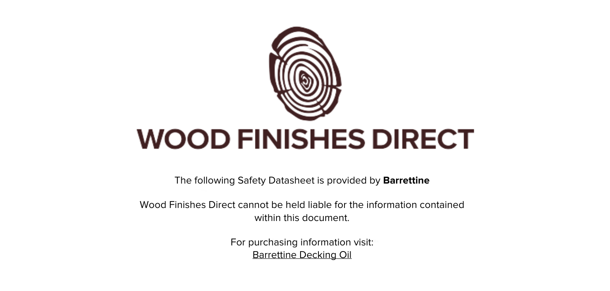

The following Safety Datasheet is provided by **Barrettine**

Wood Finishes Direct cannot be held liable for the information contained within this document

> For purchasing information visit: [Barrettine Decking Oil](https://www.wood-finishes-direct.com/product/barrettine-decking-oil)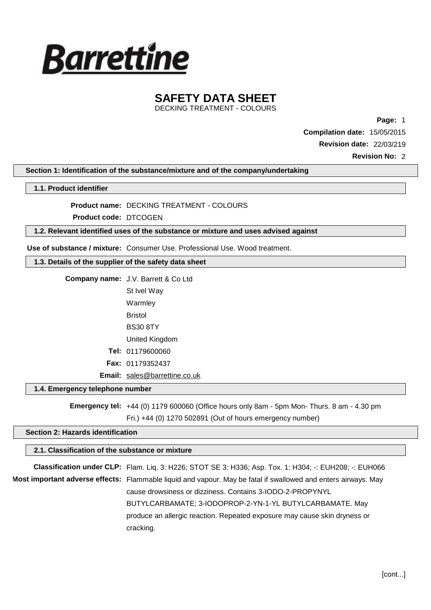

DECKING TREATMENT - COLOURS

**Page:** 1

**Compilation date:** 15/05/2015

**Revision date:** 22/03/219

**Revision No:** 2

**Section 1: Identification of the substance/mixture and of the company/undertaking**

**1.1. Product identifier**

**Product name:** DECKING TREATMENT - COLOURS

**Product code:** DTCOGEN

**1.2. Relevant identified uses of the substance or mixture and uses advised against**

**Use of substance / mixture:** Consumer Use. Professional Use. Wood treatment.

#### **1.3. Details of the supplier of the safety data sheet**

| <b>Company name: J.V. Barrett &amp; Co Ltd</b> |
|------------------------------------------------|
| St Ivel Way                                    |
| Warmley                                        |
| Bristol                                        |
| <b>BS30 8TY</b>                                |
| United Kingdom                                 |
| <b>Tel: 01179600060</b>                        |
| <b>Fax: 01179352437</b>                        |
| <b>Email:</b> sales@barrettine.co.uk           |

### **1.4. Emergency telephone number**

**Emergency tel:** +44 (0) 1179 600060 (Office hours only 8am - 5pm Mon- Thurs. 8 am - 4.30 pm

```
Fri.) +44 (0) 1270 502891 (Out of hours emergency number)
```
### **Section 2: Hazards identification**

### **2.1. Classification of the substance or mixture**

**Classification under CLP:** Flam. Liq. 3: H226; STOT SE 3: H336; Asp. Tox. 1: H304; -: EUH208; -: EUH066 **Most important adverse effects:** Flammable liquid and vapour. May be fatal if swallowed and enters airways. May cause drowsiness or dizziness. Contains 3-IODO-2-PROPYNYL BUTYLCARBAMATE; 3-IODOPROP-2-YN-1-YL BUTYLCARBAMATE. May produce an allergic reaction. Repeated exposure may cause skin dryness or cracking.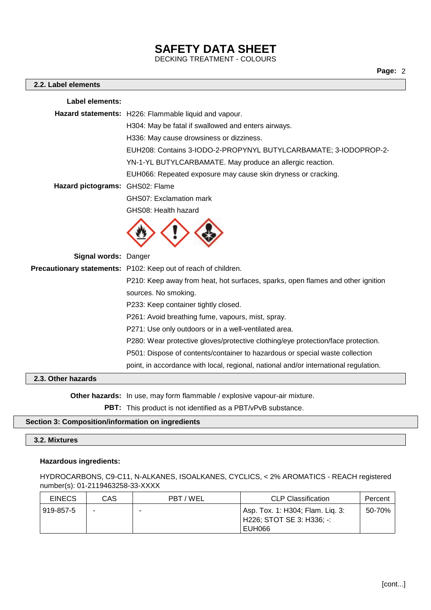DECKING TREATMENT - COLOURS

### **2.2. Label elements**

| Hazard statements: H226: Flammable liquid and vapour.<br>H304: May be fatal if swallowed and enters airways.<br>H336: May cause drowsiness or dizziness.<br>EUH208: Contains 3-IODO-2-PROPYNYL BUTYLCARBAMATE; 3-IODOPROP-2-<br>YN-1-YL BUTYLCARBAMATE. May produce an allergic reaction.<br>EUH066: Repeated exposure may cause skin dryness or cracking. |  |
|------------------------------------------------------------------------------------------------------------------------------------------------------------------------------------------------------------------------------------------------------------------------------------------------------------------------------------------------------------|--|
|                                                                                                                                                                                                                                                                                                                                                            |  |
|                                                                                                                                                                                                                                                                                                                                                            |  |
|                                                                                                                                                                                                                                                                                                                                                            |  |
|                                                                                                                                                                                                                                                                                                                                                            |  |
|                                                                                                                                                                                                                                                                                                                                                            |  |
|                                                                                                                                                                                                                                                                                                                                                            |  |
| Hazard pictograms: GHS02: Flame                                                                                                                                                                                                                                                                                                                            |  |
| <b>GHS07: Exclamation mark</b>                                                                                                                                                                                                                                                                                                                             |  |
| GHS08: Health hazard                                                                                                                                                                                                                                                                                                                                       |  |
|                                                                                                                                                                                                                                                                                                                                                            |  |
| Signal words: Danger                                                                                                                                                                                                                                                                                                                                       |  |
| Precautionary statements: P102: Keep out of reach of children.                                                                                                                                                                                                                                                                                             |  |
| P210: Keep away from heat, hot surfaces, sparks, open flames and other ignition                                                                                                                                                                                                                                                                            |  |
| sources. No smoking.                                                                                                                                                                                                                                                                                                                                       |  |
| P233: Keep container tightly closed.                                                                                                                                                                                                                                                                                                                       |  |
| P261: Avoid breathing fume, vapours, mist, spray.                                                                                                                                                                                                                                                                                                          |  |
| P271: Use only outdoors or in a well-ventilated area.                                                                                                                                                                                                                                                                                                      |  |
| P280: Wear protective gloves/protective clothing/eye protection/face protection.                                                                                                                                                                                                                                                                           |  |
| P501: Dispose of contents/container to hazardous or special waste collection                                                                                                                                                                                                                                                                               |  |
| point, in accordance with local, regional, national and/or international regulation.                                                                                                                                                                                                                                                                       |  |

### **2.3. Other hazards**

**Other hazards:** In use, may form flammable / explosive vapour-air mixture.

**PBT:** This product is not identified as a PBT/vPvB substance.

### **Section 3: Composition/information on ingredients**

### **3.2. Mixtures**

### **Hazardous ingredients:**

HYDROCARBONS, C9-C11, N-ALKANES, ISOALKANES, CYCLICS, < 2% AROMATICS - REACH registered number(s): 01-2119463258-33-XXXX

| <b>EINECS</b> | CAS | PBT / WEL | <b>CLP Classification</b>                                                 | Percent |
|---------------|-----|-----------|---------------------------------------------------------------------------|---------|
| 919-857-5     | -   |           | Asp. Tox. 1: H304; Flam. Liq. 3:<br>  H226; STOT SE 3: H336; -:<br>EUH066 | 50-70%  |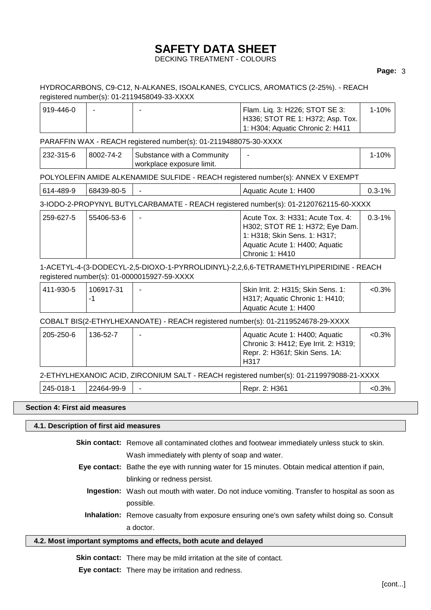### DECKING TREATMENT - COLOURS

### **Page:** 3

### HYDROCARBONS, C9-C12, N-ALKANES, ISOALKANES, CYCLICS, AROMATICS (2-25%). - REACH registered number(s): 01-2119458049-33-XXXX

| ' 919-446-0 | - | ' Flam. Liq. 3: H226; STOT SE 3:       | 1-10% l |
|-------------|---|----------------------------------------|---------|
|             |   | H336; STOT RE 1: H372; Asp. Tox.       |         |
|             |   | $\pm$ 1: H304; Aquatic Chronic 2: H411 |         |

### PARAFFIN WAX - REACH registered number(s): 01-2119488075-30-XXXX

| 232-315-6 | 8002-74-2 | Substance with a Community | - |  |
|-----------|-----------|----------------------------|---|--|
|           |           | workplace exposure limit.  |   |  |

### POLYOLEFIN AMIDE ALKENAMIDE SULFIDE - REACH registered number(s): ANNEX V EXEMPT

614-489-9  $|68439-80-5|$  -  $|A_{\text{quatic Acute 1}: H400}|0.3-1%$ 

### 3-IODO-2-PROPYNYL BUTYLCARBAMATE - REACH registered number(s): 01-2120762115-60-XXXX

| 259-627-5 | 55406-53-6 | Acute Tox. 3: H331; Acute Tox. 4: | $0.3 - 1\%$ |
|-----------|------------|-----------------------------------|-------------|
|           |            | H302; STOT RE 1: H372; Eye Dam.   |             |
|           |            | 1: H318; Skin Sens. 1: H317;      |             |
|           |            | Aquatic Acute 1: H400; Aquatic    |             |
|           |            | <b>Chronic 1: H410</b>            |             |

### 1-ACETYL-4-(3-DODECYL-2,5-DIOXO-1-PYRROLIDINYL)-2,2,6,6-TETRAMETHYLPIPERIDINE - REACH registered number(s): 01-0000015927-59-XXXX

| 411-930-5" | 106917-31 | Skin Irrit. 2: H315; Skin Sens. 1: | $< 0.3\%$ |
|------------|-----------|------------------------------------|-----------|
|            |           | H317; Aquatic Chronic 1: H410;     |           |
|            |           | Aquatic Acute 1: H400              |           |

### COBALT BIS(2-ETHYLHEXANOATE) - REACH registered number(s): 01-2119524678-29-XXXX

| 205-250-6 | 136-52-7 | Aquatic Acute 1: H400; Aquatic       | $< 0.3\%$ |
|-----------|----------|--------------------------------------|-----------|
|           |          | Chronic 3: H412; Eye Irrit. 2: H319; |           |
|           |          | Repr. 2: H361f; Skin Sens. 1A:       |           |
|           |          | H <sub>317</sub>                     |           |

### 2-ETHYLHEXANOIC ACID, ZIRCONIUM SALT - REACH registered number(s): 01-2119979088-21-XXXX

| 245-018- | 22464-99-<br>-O-<br>ີ |  | 2: H361<br>Repr. | 3%<br>∼ט.⊽ |
|----------|-----------------------|--|------------------|------------|
|----------|-----------------------|--|------------------|------------|

### **Section 4: First aid measures**

### **4.1. Description of first aid measures**

**Skin contact:** Remove all contaminated clothes and footwear immediately unless stuck to skin. Wash immediately with plenty of soap and water.

- **Eye contact:** Bathe the eye with running water for 15 minutes. Obtain medical attention if pain, blinking or redness persist.
	- **Ingestion:** Wash out mouth with water. Do not induce vomiting. Transfer to hospital as soon as possible.
	- **Inhalation:** Remove casualty from exposure ensuring one's own safety whilst doing so. Consult a doctor.

### **4.2. Most important symptoms and effects, both acute and delayed**

**Skin contact:** There may be mild irritation at the site of contact.

**Eye contact:** There may be irritation and redness.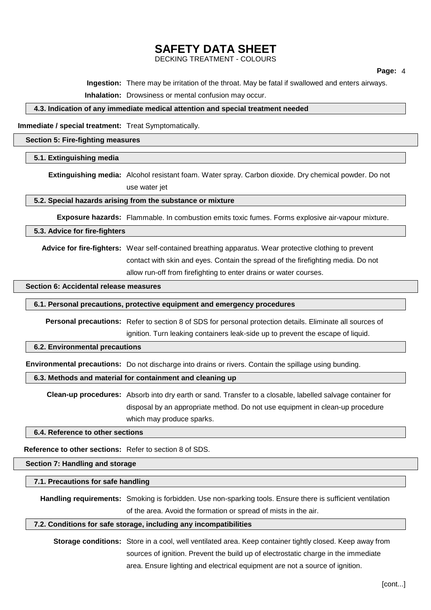DECKING TREATMENT - COLOURS

**Ingestion:** There may be irritation of the throat. May be fatal if swallowed and enters airways.

**Inhalation:** Drowsiness or mental confusion may occur.

#### **4.3. Indication of any immediate medical attention and special treatment needed**

**Immediate / special treatment:** Treat Symptomatically.

### **Section 5: Fire-fighting measures**

### **5.1. Extinguishing media**

**Extinguishing media:** Alcohol resistant foam. Water spray. Carbon dioxide. Dry chemical powder. Do not use water jet

**5.2. Special hazards arising from the substance or mixture**

**Exposure hazards:** Flammable. In combustion emits toxic fumes. Forms explosive air-vapour mixture.

#### **5.3. Advice for fire-fighters**

**Advice for fire-fighters:** Wear self-contained breathing apparatus. Wear protective clothing to prevent contact with skin and eyes. Contain the spread of the firefighting media. Do not allow run-off from firefighting to enter drains or water courses.

#### **Section 6: Accidental release measures**

### **6.1. Personal precautions, protective equipment and emergency procedures**

**Personal precautions:** Refer to section 8 of SDS for personal protection details. Eliminate all sources of ignition. Turn leaking containers leak-side up to prevent the escape of liquid.

### **6.2. Environmental precautions**

**Environmental precautions:** Do not discharge into drains or rivers. Contain the spillage using bunding.

### **6.3. Methods and material for containment and cleaning up**

**Clean-up procedures:** Absorb into dry earth or sand. Transfer to a closable, labelled salvage container for disposal by an appropriate method. Do not use equipment in clean-up procedure which may produce sparks.

**6.4. Reference to other sections**

**Reference to other sections:** Refer to section 8 of SDS.

**Section 7: Handling and storage**

**7.1. Precautions for safe handling**

**Handling requirements:** Smoking is forbidden. Use non-sparking tools. Ensure there is sufficient ventilation of the area. Avoid the formation or spread of mists in the air.

#### **7.2. Conditions for safe storage, including any incompatibilities**

**Storage conditions:** Store in a cool, well ventilated area. Keep container tightly closed. Keep away from sources of ignition. Prevent the build up of electrostatic charge in the immediate area. Ensure lighting and electrical equipment are not a source of ignition.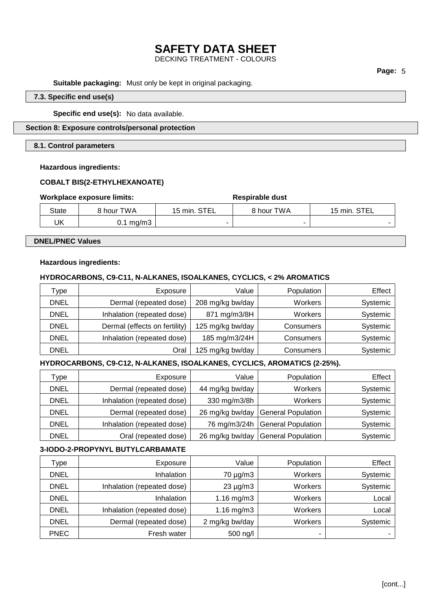DECKING TREATMENT - COLOURS

### **Page:** 5

**Suitable packaging:** Must only be kept in original packaging.

### **7.3. Specific end use(s)**

#### **Specific end use(s):** No data available.

### **Section 8: Exposure controls/personal protection**

### **8.1. Control parameters**

### **Hazardous ingredients:**

### **COBALT BIS(2-ETHYLHEXANOATE)**

### **Workplace exposure limits: Respirable dust**

| ,,,,,,,,,,,,,,,,,,,,,,,,,,,,,,,,,,, |                      |              | www.andrance |              |  |
|-------------------------------------|----------------------|--------------|--------------|--------------|--|
| State                               | 8 hour TWA           | 15 min. STEL | 8 hour TWA   | 15 min. STEL |  |
| UK                                  | $0.1 \text{ mg/m}$ 3 |              |              |              |  |

### **DNEL/PNEC Values**

### **Hazardous ingredients:**

### **HYDROCARBONS, C9-C11, N-ALKANES, ISOALKANES, CYCLICS, < 2% AROMATICS**

| Type.       | Exposure                      | Value            | Population | Effect   |
|-------------|-------------------------------|------------------|------------|----------|
| <b>DNEL</b> | Dermal (repeated dose)        | 208 mg/kg bw/day | Workers    | Systemic |
| <b>DNEL</b> | Inhalation (repeated dose)    | 871 mg/m3/8H     | Workers    | Systemic |
| <b>DNEL</b> | Dermal (effects on fertility) | 125 mg/kg bw/day | Consumers  | Systemic |
| <b>DNEL</b> | Inhalation (repeated dose)    | 185 mg/m3/24H    | Consumers  | Systemic |
| <b>DNEL</b> | Oral                          | 125 mg/kg bw/day | Consumers  | Systemic |

### **HYDROCARBONS, C9-C12, N-ALKANES, ISOALKANES, CYCLICS, AROMATICS (2-25%).**

| Type        | Exposure                   | Value           | Population                | Effect   |
|-------------|----------------------------|-----------------|---------------------------|----------|
| DNEL        | Dermal (repeated dose)     | 44 mg/kg bw/day | <b>Workers</b>            | Systemic |
|             |                            |                 |                           |          |
| <b>DNEL</b> | Inhalation (repeated dose) | 330 mg/m3/8h    | <b>Workers</b>            | Systemic |
| <b>DNEL</b> | Dermal (repeated dose)     | 26 mg/kg bw/day | <b>General Population</b> | Systemic |
| <b>DNEL</b> | Inhalation (repeated dose) | 76 mg/m3/24h    | <b>General Population</b> | Systemic |
| <b>DNEL</b> | Oral (repeated dose)       | 26 mg/kg bw/day | <b>General Population</b> | Systemic |

### **3-IODO-2-PROPYNYL BUTYLCARBAMATE**

| Type        | Exposure                   | Value          | Population     | Effect   |
|-------------|----------------------------|----------------|----------------|----------|
| <b>DNEL</b> | Inhalation                 | $70 \mu g/m3$  | <b>Workers</b> | Systemic |
| <b>DNEL</b> | Inhalation (repeated dose) | $23 \mu g/m3$  | Workers        | Systemic |
| <b>DNEL</b> | Inhalation                 | 1.16 $mg/m3$   | Workers        | Local    |
| <b>DNEL</b> | Inhalation (repeated dose) | 1.16 mg/m $3$  | Workers        | Local    |
| <b>DNEL</b> | Dermal (repeated dose)     | 2 mg/kg bw/day | Workers        | Systemic |
| <b>PNEC</b> | Fresh water                | 500 ng/l       |                |          |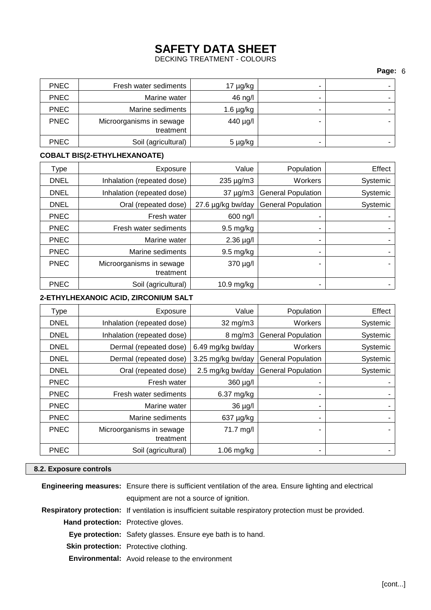DECKING TREATMENT - COLOURS

### **Page:** 6

| - | $17 \mu g/kg$  | Fresh water sediments    | <b>PNEC</b> |
|---|----------------|--------------------------|-------------|
| - | 46 ng/l        | Marine water             | <b>PNEC</b> |
| - | $1.6 \mu g/kg$ | Marine sediments         | <b>PNEC</b> |
|   | 440 µg/l       | Microorganisms in sewage | <b>PNEC</b> |
|   |                | treatment                |             |
| - | 5 µg/kg        | Soil (agricultural)      | <b>PNEC</b> |

### **COBALT BIS(2-ETHYLHEXANOATE)**

| Type        | Exposure                   | Value               | Population                | Effect   |
|-------------|----------------------------|---------------------|---------------------------|----------|
| <b>DNEL</b> | Inhalation (repeated dose) | $235 \mu g/m3$      | Workers                   | Systemic |
| <b>DNEL</b> | Inhalation (repeated dose) | $37 \mu g/m3$       | <b>General Population</b> | Systemic |
| <b>DNEL</b> | Oral (repeated dose)       | 27.6 µg/kg bw/day   | <b>General Population</b> | Systemic |
| <b>PNEC</b> | Fresh water                | 600 ng/l            | -                         |          |
| <b>PNEC</b> | Fresh water sediments      | $9.5 \text{ mg/kg}$ |                           |          |
| <b>PNEC</b> | Marine water               | $2.36 \mu g/l$      |                           |          |
| <b>PNEC</b> | Marine sediments           | $9.5 \text{ mg/kg}$ |                           |          |
| <b>PNEC</b> | Microorganisms in sewage   | $370 \mu g/l$       | -                         |          |
|             | treatment                  |                     |                           |          |
| <b>PNEC</b> | Soil (agricultural)        | $10.9$ mg/kg        |                           |          |

### **2-ETHYLHEXANOIC ACID, ZIRCONIUM SALT**

| Type        | Exposure                   | Value               | Population                | Effect   |
|-------------|----------------------------|---------------------|---------------------------|----------|
| <b>DNEL</b> | Inhalation (repeated dose) | $32 \text{ mg/m}$   | Workers                   | Systemic |
| <b>DNEL</b> | Inhalation (repeated dose) | $8 \,\mathrm{mg/m}$ | <b>General Population</b> | Systemic |
| <b>DNEL</b> | Dermal (repeated dose)     | 6.49 mg/kg bw/day   | Workers                   | Systemic |
| <b>DNEL</b> | Dermal (repeated dose)     | 3.25 mg/kg bw/day   | <b>General Population</b> | Systemic |
| <b>DNEL</b> | Oral (repeated dose)       | 2.5 mg/kg bw/day    | <b>General Population</b> | Systemic |
| <b>PNEC</b> | Fresh water                | 360 µg/l            | ۰                         |          |
| <b>PNEC</b> | Fresh water sediments      | 6.37 mg/kg          |                           |          |
| <b>PNEC</b> | Marine water               | $36 \mu g/l$        |                           |          |
| <b>PNEC</b> | Marine sediments           | 637 µg/kg           |                           |          |
| <b>PNEC</b> | Microorganisms in sewage   | 71.7 mg/l           |                           |          |
|             | treatment                  |                     |                           |          |
| <b>PNEC</b> | Soil (agricultural)        | $1.06$ mg/kg        |                           |          |

### **8.2. Exposure controls**

|                                     | <b>Engineering measures:</b> Ensure there is sufficient ventilation of the area. Ensure lighting and electrical |  |  |
|-------------------------------------|-----------------------------------------------------------------------------------------------------------------|--|--|
|                                     | equipment are not a source of ignition.                                                                         |  |  |
|                                     | Respiratory protection: If ventilation is insufficient suitable respiratory protection must be provided.        |  |  |
| Hand protection: Protective gloves. |                                                                                                                 |  |  |
|                                     | Eye protection: Safety glasses. Ensure eye bath is to hand.                                                     |  |  |
|                                     | <b>Skin protection:</b> Protective clothing.                                                                    |  |  |
|                                     | <b>Environmental:</b> Avoid release to the environment                                                          |  |  |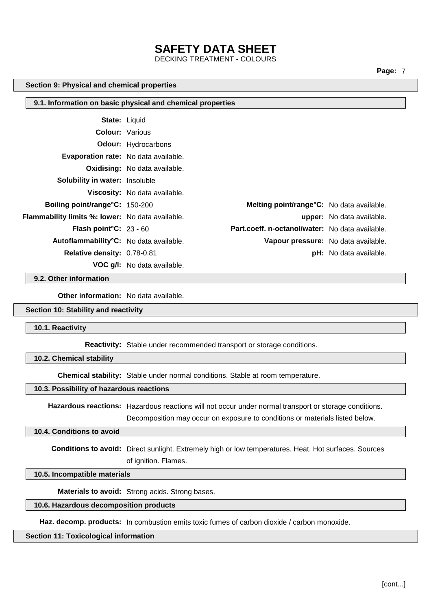DECKING TREATMENT - COLOURS

**Page:** 7

#### **Section 9: Physical and chemical properties**

|                                                  | 9.1. Information on basic physical and chemical properties |                                                 |
|--------------------------------------------------|------------------------------------------------------------|-------------------------------------------------|
| <b>State: Liquid</b>                             |                                                            |                                                 |
| <b>Colour:</b> Various                           |                                                            |                                                 |
|                                                  | <b>Odour:</b> Hydrocarbons                                 |                                                 |
| <b>Evaporation rate:</b> No data available.      |                                                            |                                                 |
|                                                  | <b>Oxidising:</b> No data available.                       |                                                 |
| <b>Solubility in water:</b> Insoluble            |                                                            |                                                 |
|                                                  | <b>Viscosity:</b> No data available.                       |                                                 |
| Boiling point/range°C: 150-200                   |                                                            | Melting point/range°C: No data available.       |
| Flammability limits %: lower: No data available. |                                                            | upper: No data available.                       |
| <b>Flash point °C:</b> 23 - 60                   |                                                            | Part.coeff. n-octanol/water: No data available. |
| Autoflammability°C: No data available.           |                                                            | Vapour pressure: No data available.             |
| Relative density: 0.78-0.81                      |                                                            | <b>pH:</b> No data available.                   |
|                                                  | <b>VOC g/l:</b> No data available.                         |                                                 |
| 9.2. Other information                           |                                                            |                                                 |

**Other information:** No data available.

### **Section 10: Stability and reactivity**

**10.1. Reactivity**

**Reactivity:** Stable under recommended transport or storage conditions.

**10.2. Chemical stability**

**Chemical stability:** Stable under normal conditions. Stable at room temperature.

#### **10.3. Possibility of hazardous reactions**

**Hazardous reactions:** Hazardous reactions will not occur under normal transport or storage conditions.

Decomposition may occur on exposure to conditions or materials listed below.

### **10.4. Conditions to avoid**

**Conditions to avoid:** Direct sunlight. Extremely high or low temperatures. Heat. Hot surfaces. Sources of ignition. Flames.

### **10.5. Incompatible materials**

**Materials to avoid:** Strong acids. Strong bases.

### **10.6. Hazardous decomposition products**

**Haz. decomp. products:** In combustion emits toxic fumes of carbon dioxide / carbon monoxide.

### **Section 11: Toxicological information**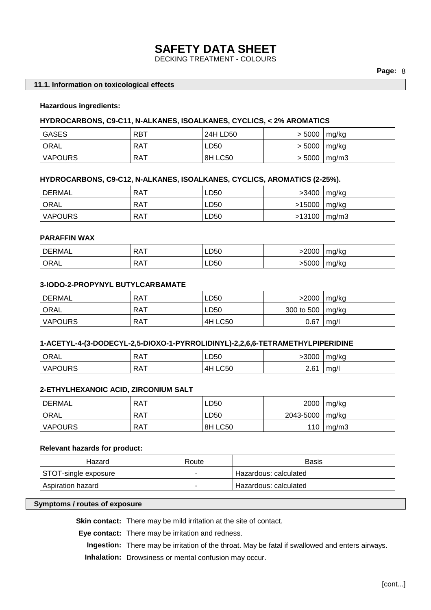DECKING TREATMENT - COLOURS

### **11.1. Information on toxicological effects**

### **Hazardous ingredients:**

#### **HYDROCARBONS, C9-C11, N-ALKANES, ISOALKANES, CYCLICS, < 2% AROMATICS**

| GASES          | <b>RBT</b> | 24H LD50 | > 5000 | mg/ka            |
|----------------|------------|----------|--------|------------------|
| <b>ORAL</b>    | RAT        | ∟D50     | > 5000 | mg/ka            |
| <b>VAPOURS</b> | <b>RAT</b> | 8H LC50  |        | $> 5000$   mg/m3 |

### **HYDROCARBONS, C9-C12, N-ALKANES, ISOALKANES, CYCLICS, AROMATICS (2-25%).**

| DERMAL         | . RAT | LD50 | >3400            | mg/kg |
|----------------|-------|------|------------------|-------|
| <b>ORAL</b>    | . RAT | LD50 | $>15000$   mg/kg |       |
| <b>VAPOURS</b> | . RAT | LD50 | $>13100$   mg/m3 |       |

### **PARAFFIN WAX**

| DERMAL | RA <sub>1</sub> | LD50 | 2000< | ma/ka |
|--------|-----------------|------|-------|-------|
| ORAL   | <b>RAT</b>      | LD50 | >5000 | ma/ka |

#### **3-IODO-2-PROPYNYL BUTYLCARBAMATE**

| DERMAL         | RAT        | LD50           | >2000      | mg/kg           |
|----------------|------------|----------------|------------|-----------------|
| ORAL           | RAT        | LD50           | 300 to 500 | $\lfloor$ mg/kg |
| <b>VAPOURS</b> | <b>RAT</b> | <b>4H LC50</b> | 0.67       | mg/l            |

#### **1-ACETYL-4-(3-DODECYL-2,5-DIOXO-1-PYRROLIDINYL)-2,2,6,6-TETRAMETHYLPIPERIDINE**

| <sup>'</sup> ORAL | `RA.                      | LD50              | -3000            | mg/kg |
|-------------------|---------------------------|-------------------|------------------|-------|
| <b>VAPOURS</b>    | $\sim$<br>RA <sub>1</sub> | <b>LC50</b><br>4۲ | 2.6 <sup>4</sup> | mg/'  |

### **2-ETHYLHEXANOIC ACID, ZIRCONIUM SALT**

| DERMAL            | RAT | LD50    | 2000      | mg/kg |
|-------------------|-----|---------|-----------|-------|
| <sup>1</sup> ORAL | RAT | LD50    | 2043-5000 | mg/kg |
| VAPOURS           | RAT | 8H LC50 | 110       | mq/m3 |

### **Relevant hazards for product:**

| Hazard               | Route | Basis                 |
|----------------------|-------|-----------------------|
| STOT-single exposure |       | Hazardous: calculated |
| Aspiration hazard    |       | Hazardous: calculated |

### **Symptoms / routes of exposure**

**Skin contact:** There may be mild irritation at the site of contact.

**Eye contact:** There may be irritation and redness.

**Ingestion:** There may be irritation of the throat. May be fatal if swallowed and enters airways. **Inhalation:** Drowsiness or mental confusion may occur.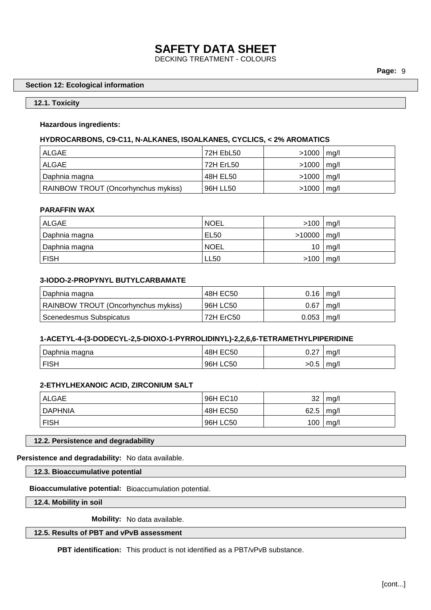### **SAFETY DATA SHEET** DECKING TREATMENT - COLOURS

## **Section 12: Ecological information**

### **12.1. Toxicity**

### **Hazardous ingredients:**

### **HYDROCARBONS, C9-C11, N-ALKANES, ISOALKANES, CYCLICS, < 2% AROMATICS**

| ALGAE                               | 72H EbL50 | >1000   | mg/l |
|-------------------------------------|-----------|---------|------|
| ' ALGAE                             | 72H ErL50 | >1000   | mg/l |
| Daphnia magna                       | 48H EL50  | >1000   | mq/l |
| RAINBOW TROUT (Oncorhynchus mykiss) | 96H LL50  | $>1000$ | mg/l |

### **PARAFFIN WAX**

| <b>ALGAE</b>  | <b>NOEL</b> | $>100$   mg/l   |                |
|---------------|-------------|-----------------|----------------|
| Daphnia magna | EL50        | $>10000$   mg/l |                |
| Daphnia magna | <b>NOEL</b> |                 | $10 \mid mg/l$ |
| <b>FISH</b>   | <b>LL50</b> | $>100$   mg/l   |                |

### **3-IODO-2-PROPYNYL BUTYLCARBAMATE**

| Daphnia magna                       | 48H EC50  | $0.16$   mg/l |      |
|-------------------------------------|-----------|---------------|------|
| RAINBOW TROUT (Oncorhynchus mykiss) | 96H LC50  | 0.67          | mq/l |
| Scenedesmus Subspicatus             | 72H ErC50 | 0.053         | mq/l |

### **1-ACETYL-4-(3-DODECYL-2,5-DIOXO-1-PYRROLIDINYL)-2,2,6,6-TETRAMETHYLPIPERIDINE**

| Daphnia magna | 48H EC50 | $\sim$ $\sim$<br>∪.∠7 | mq/  |
|---------------|----------|-----------------------|------|
| <b>FISH</b>   | 96H LC50 | >∪.o                  | ma/l |

### **2-ETHYLHEXANOIC ACID, ZIRCONIUM SALT**

| <b>ALGAE</b> | 96H EC10 | 32   | mg/l |
|--------------|----------|------|------|
| DAPHNIA      | 48H EC50 | 62.5 | mg/l |
| <b>FISH</b>  | 96H LC50 | 100  | mg/l |

**12.2. Persistence and degradability**

**Persistence and degradability:** No data available.

**12.3. Bioaccumulative potential**

**Bioaccumulative potential:** Bioaccumulation potential.

**12.4. Mobility in soil**

**Mobility:** No data available.

**12.5. Results of PBT and vPvB assessment**

**PBT identification:** This product is not identified as a PBT/vPvB substance.

**Page:** 9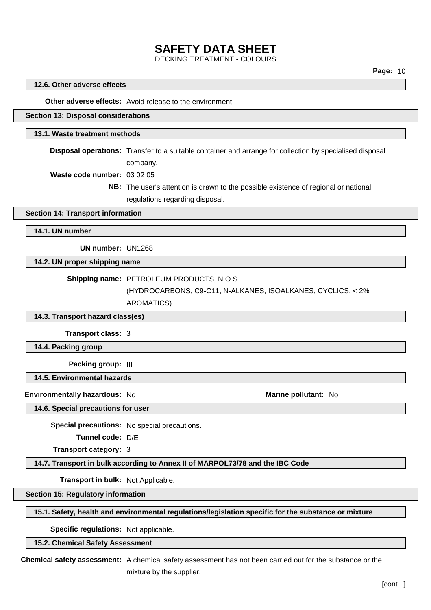DECKING TREATMENT - COLOURS

### **Page:** 10

#### **12.6. Other adverse effects**

**Other adverse effects:** Avoid release to the environment.

### **Section 13: Disposal considerations**

### **13.1. Waste treatment methods**

**Disposal operations:** Transfer to a suitable container and arrange for collection by specialised disposal company.

**Waste code number:** 03 02 05

**NB:** The user's attention is drawn to the possible existence of regional or national regulations regarding disposal.

#### **Section 14: Transport information**

**14.1. UN number**

**UN number:** UN1268

**14.2. UN proper shipping name**

**Shipping name:** PETROLEUM PRODUCTS, N.O.S.

(HYDROCARBONS, C9-C11, N-ALKANES, ISOALKANES, CYCLICS, < 2%

AROMATICS)

**14.3. Transport hazard class(es)**

**Transport class:** 3

**14.4. Packing group**

**Packing group:** III

**14.5. Environmental hazards**

**Environmentally hazardous:** No **Marine pollutant:** No

**14.6. Special precautions for user**

**Special precautions:** No special precautions.

**Tunnel code:** D/E

**Transport category:** 3

**14.7. Transport in bulk according to Annex II of MARPOL73/78 and the IBC Code**

**Transport in bulk:** Not Applicable.

**Section 15: Regulatory information**

### **15.1. Safety, health and environmental regulations/legislation specific for the substance or mixture**

**Specific regulations:** Not applicable.

**15.2. Chemical Safety Assessment**

**Chemical safety assessment:** A chemical safety assessment has not been carried out for the substance or the mixture by the supplier.